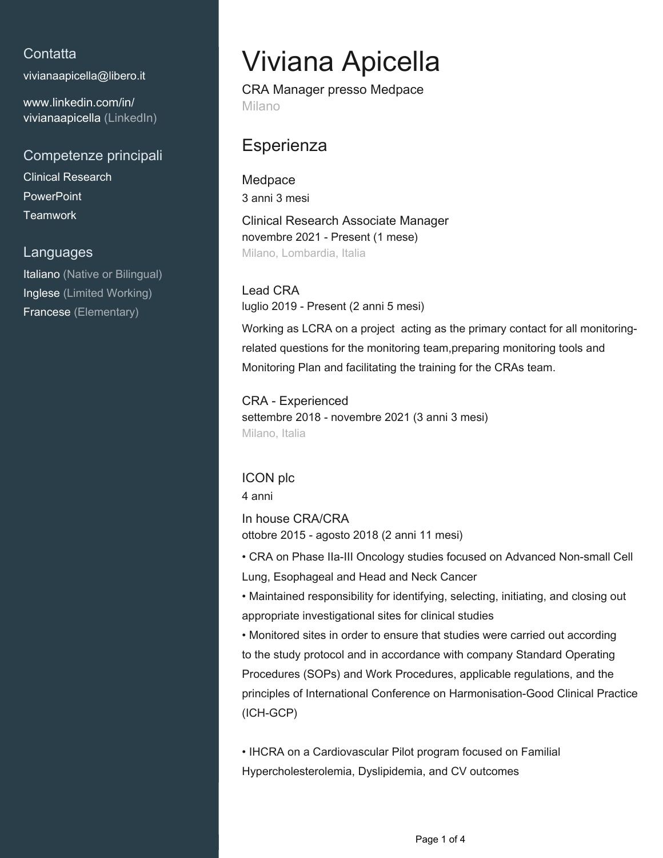## **Contatta**

[vivianaapicella@libero.it](mailto:vivianaapicella@libero.it)

[www.linkedin.com/in/](https://www.linkedin.com/in/vivianaapicella?jobid=1234&lipi=urn%3Ali%3Apage%3Ad_jobs_easyapply_pdfgenresume%3BHqsd7QSjSUuFalbc3XLx9w%3D%3D&licu=urn%3Ali%3Acontrol%3Ad_jobs_easyapply_pdfgenresume-v02_profile) [vivianaapicella \(LinkedIn\)](https://www.linkedin.com/in/vivianaapicella?jobid=1234&lipi=urn%3Ali%3Apage%3Ad_jobs_easyapply_pdfgenresume%3BHqsd7QSjSUuFalbc3XLx9w%3D%3D&licu=urn%3Ali%3Acontrol%3Ad_jobs_easyapply_pdfgenresume-v02_profile)

Competenze principali Clinical Research **PowerPoint Teamwork** 

#### Languages

Italiano (Native or Bilingual) Inglese (Limited Working) Francese (Elementary)

# Viviana Apicella

CRA Manager presso Medpace Milano

## **Esperienza**

**Medpace** 3 anni 3 mesi Clinical Research Associate Manager novembre 2021 - Present (1 mese) Milano, Lombardia, Italia

Lead CRA luglio 2019 - Present (2 anni 5 mesi)

Working as LCRA on a project acting as the primary contact for all monitoringrelated questions for the monitoring team,preparing monitoring tools and Monitoring Plan and facilitating the training for the CRAs team.

CRA - Experienced settembre 2018 - novembre 2021 (3 anni 3 mesi) Milano, Italia

### ICON plc

4 anni

In house CRA/CRA ottobre 2015 - agosto 2018 (2 anni 11 mesi)

• CRA on Phase IIa-III Oncology studies focused on Advanced Non-small Cell Lung, Esophageal and Head and Neck Cancer

• Maintained responsibility for identifying, selecting, initiating, and closing out appropriate investigational sites for clinical studies

• Monitored sites in order to ensure that studies were carried out according to the study protocol and in accordance with company Standard Operating Procedures (SOPs) and Work Procedures, applicable regulations, and the principles of International Conference on Harmonisation-Good Clinical Practice (ICH-GCP)

• IHCRA on a Cardiovascular Pilot program focused on Familial Hypercholesterolemia, Dyslipidemia, and CV outcomes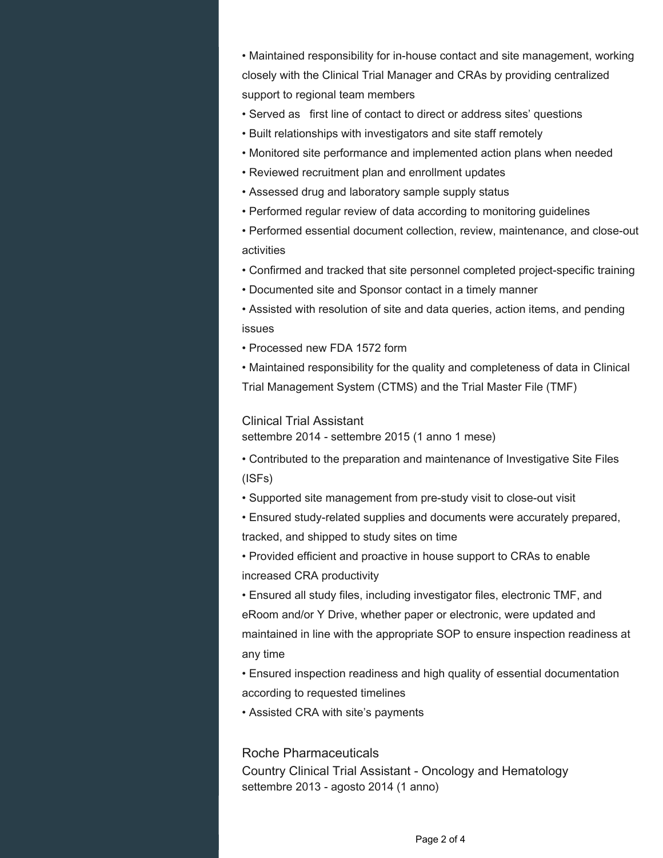• Maintained responsibility for in-house contact and site management, working closely with the Clinical Trial Manager and CRAs by providing centralized support to regional team members

- Served as first line of contact to direct or address sites' questions
- Built relationships with investigators and site staff remotely
- Monitored site performance and implemented action plans when needed
- Reviewed recruitment plan and enrollment updates
- Assessed drug and laboratory sample supply status
- Performed regular review of data according to monitoring guidelines
- Performed essential document collection, review, maintenance, and close-out activities
- Confirmed and tracked that site personnel completed project-specific training
- Documented site and Sponsor contact in a timely manner
- Assisted with resolution of site and data queries, action items, and pending issues
- Processed new FDA 1572 form

• Maintained responsibility for the quality and completeness of data in Clinical Trial Management System (CTMS) and the Trial Master File (TMF)

#### Clinical Trial Assistant

settembre 2014 - settembre 2015 (1 anno 1 mese)

• Contributed to the preparation and maintenance of Investigative Site Files (ISFs)

- Supported site management from pre-study visit to close-out visit
- Ensured study-related supplies and documents were accurately prepared, tracked, and shipped to study sites on time

• Provided efficient and proactive in house support to CRAs to enable increased CRA productivity

• Ensured all study files, including investigator files, electronic TMF, and eRoom and/or Y Drive, whether paper or electronic, were updated and maintained in line with the appropriate SOP to ensure inspection readiness at any time

• Ensured inspection readiness and high quality of essential documentation according to requested timelines

• Assisted CRA with site's payments

#### Roche Pharmaceuticals

Country Clinical Trial Assistant - Oncology and Hematology settembre 2013 - agosto 2014 (1 anno)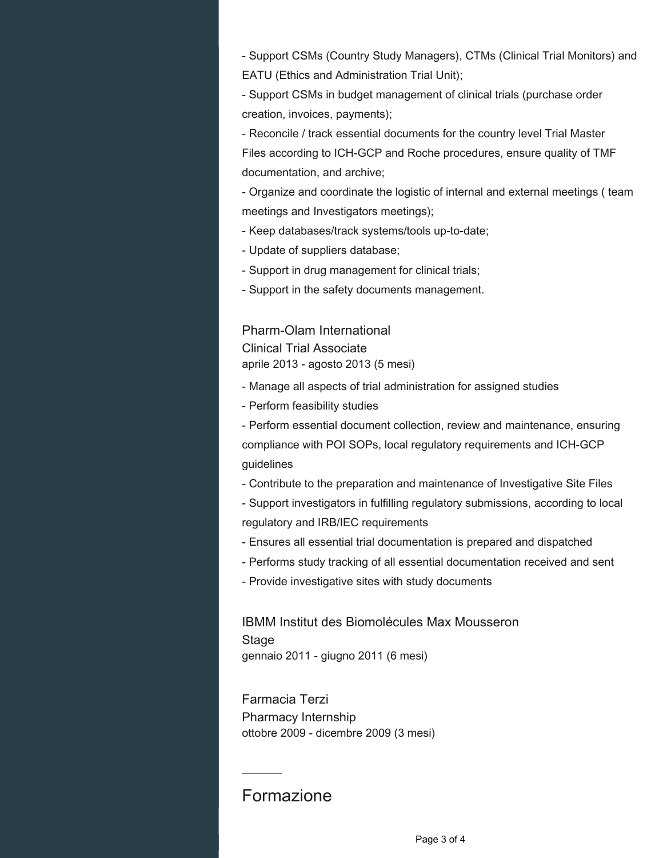- Support CSMs (Country Study Managers), CTMs (Clinical Trial Monitors) and EATU (Ethics and Administration Trial Unit);

- Support CSMs in budget management of clinical trials (purchase order creation, invoices, payments);

- Reconcile / track essential documents for the country level Trial Master Files according to ICH-GCP and Roche procedures, ensure quality of TMF documentation, and archive;

- Organize and coordinate the logistic of internal and external meetings ( team meetings and Investigators meetings);

- Keep databases/track systems/tools up-to-date;

- Update of suppliers database;

- Support in drug management for clinical trials;

- Support in the safety documents management.

### Pharm-Olam International

Clinical Trial Associate aprile 2013 - agosto 2013 (5 mesi)

- Manage all aspects of trial administration for assigned studies

- Perform feasibility studies

- Perform essential document collection, review and maintenance, ensuring compliance with POI SOPs, local regulatory requirements and ICH-GCP guidelines

- Contribute to the preparation and maintenance of Investigative Site Files

- Support investigators in fulfilling regulatory submissions, according to local regulatory and IRB/IEC requirements

- Ensures all essential trial documentation is prepared and dispatched
- Performs study tracking of all essential documentation received and sent
- Provide investigative sites with study documents

IBMM Institut des Biomolécules Max Mousseron Stage gennaio 2011 - giugno 2011 (6 mesi)

Farmacia Terzi Pharmacy Internship ottobre 2009 - dicembre 2009 (3 mesi)

# Formazione